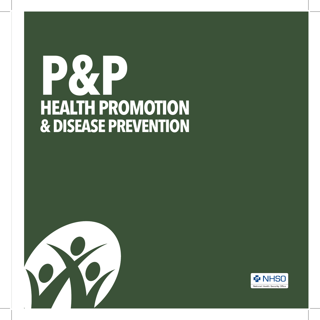# **HEALTH PROMOTION & DISEASE PREVENTION P&P**



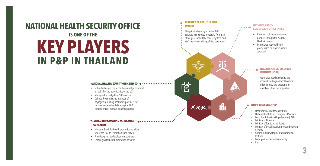# **KEY PLAYERS IN P&P IN THAILAND NATIONAL HEALTH SECURITY OFFICE IS ONE OF THE**

#### **NATIONAL HEALTH SECURITY OFFICE [NHSO]**

- Submits a budget request to the central government on behalf of the beneficiaries of the UCS
- Manages the budget for P&P services
- Defines the criteria and methods of paying/reimbursing healthcare providers for services rendered and defining the P&P components of the UCS benefits package

#### **THAI HEALTH PROMOTION FOUNDATION [THAIHEALTH]**

- Manages funds for health promotion activities under the Health Promotion Fund Act 2001
- Provides grants to development partners
- Campaigns for health promotion activities

### **MINISTRY OF PUBLIC HEALTH**

**[MOPH]**

 $\begin{bmatrix} \circ \\ \circ \circ \end{bmatrix}$ 

 $X \times \times$ 

 $\bullet\hspace{0.1cm} \bullet\hspace{0.1cm} \bullet\hspace{0.1cm} \bullet\hspace{0.1cm} \bullet\hspace{0.1cm} \bullet\hspace{0.1cm} \bullet\hspace{0.1cm} \bullet$ 

## The principal agency to deliver P&P services, issue policy proposals, formulate strategies, expand the service system, and

staff the system with qualified personnel

#### **NATIONAL HEALTH**  . . . . . **. COMMISSION OFFICE [NHCO]**

- Promotes collaboration among partners through the National Health Assembly
- Formulates national health policy based on a participatory approach

### **HEALTH SYSTEMS RESEARCH INSTITUTE [HSRI]**

Generates new knowledge and research findings on health which inform policy and programs on quality of life of the population

#### **OTHER ORGANIZATIONS**

- Healthcare Accreditation Institute
- National Institute for Emergency Medicine
- Local Administrative Organizations (LAO)
- Ministry of Finance
- Ministry of Tourism and Sports
- Ministry of Social Development and Human **Security**
- Community Development Organization Institute
- Metropolitan Electricity Authority
- Etc.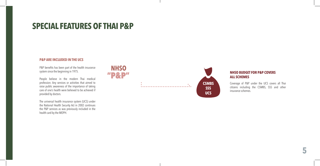# **SPECIAL FEATURES OF THAI P&P**

# **P&P ARE INCLUDED IN THE UCS**

P&P benefits has been part of the health insurance system since the beginning in 1975.

People believe in the modern Thai medical profession. Any services or activities that aimed to raise public awareness of the importance of taking care of one's health were believed to be achieved if provided by doctors.

The universal health insurance system (UCS) under the National Health Security Act in 2002 continues the P&P services as was previously included in the health card by the MOPH.





# **NHSO BUDGET FOR P&P COVERS ALL SCHEMES**

Coverage of P&P under the UCS covers all Thai citizens including the CSMBS, SSS and other insurance schemes.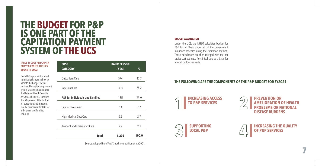# **THE BUDGET FOR P&P IS ONE PART OF THE CAPITATION PAYMENT SYSTEM OF THE UCS**

#### **TABLE 1: COST PER CAPITA PER YEAR WHEN THE UCS BEGAN IN 2002**

The NHSO system introduced significant changes in how to allocate the budget for P&P services. The capitation payment system was introduced under the National Health Security Act 2002.The NHSO specified that 20 percent of the budget for outpatient and inpatient care be earmarked for P&P for individuals and families. (Table 1)

| <b>COST</b><br><b>CATEGORY</b>              | <b>BAHT/PERSON</b><br>/YEAR | %     |
|---------------------------------------------|-----------------------------|-------|
| <b>Outpatient Care</b>                      | 574                         | 47.7  |
| <b>Inpatient Care</b>                       | 303                         | 25.2  |
| <b>P&amp;P</b> for Individuals and Families | 175                         | 14.6  |
| Capital Investment                          | 93                          | 7.7   |
| High Medical Cost Care                      | 32                          | 2.7   |
| <b>Accident and Emergency Care</b>          | 25                          | 2.1   |
| <b>Total</b>                                | 1,202                       | 100.0 |

Source: Adapted from Viroj Tangcharoensathien et al. (2001)

#### **BUDGET CALCULATION**

Under the UCS, the NHSO calculates budget for P&P for all Thais under all of the government insurance schemes using the capitation method. Those calculations are then merged with the per capita cost estimate for clinical care as a basis for annual budget requests.

# **THE FOLLOWING ARE THE COMPONENTS OF THE P&P BUDGET FOR FY2021:**

**INCREASING ACCESS TO P&P SERVICES**



**7**



**INCREASING THE QUALITY OF P&P SERVICES**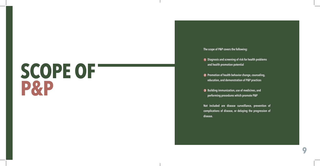# **SCOPE OF P&P**

# **The scope of P&P covers the following:**

- **1** Diagnosis and screening of risk for health problems **and health promotion potential**
- **2** Promotion of health behavior change, counseling, **education, and demonstration of P&P practices**
- **Building immunization, use of medicines, and performing procedures which promote P&P**

1 Diag<br>
and<br>
2 Pron<br>
educ<br>
3 Buile<br>
perfe<br>
Not inc<br>
complic<br>
disease. **Not included are disease surveillance, prevention of complications of disease, or delaying the progression of**  disease.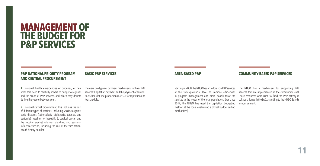# **MANAGEMENT OF THE BUDGET FOR P&P SERVICES**

# **P&P NATIONAL PRIORITY PROGRAM AND CENTRAL PROCUREMENT**

**BASIC P&P SERVICES AREA-BASED P&P COMMUNITY-BASED P&P SERVICES** 

**1** National health emergencies or priorities, or new areas that need to carefully adhere to budget categories and the scope of P&P services, and which may deviate during the year or between years.

**2** National central procurement. This includes the cost of different types of vaccines, including vaccines against basic diseases (tuberculosis, diphtheria, tetanus, and pertussis); vaccines for hepatitis B, cervical cancer, and the vaccine against rotavirus diarrhea; and seasonal influenza vaccine, including the cost of the vaccination/ health history booklet.

There are two types of payment mechanisms for basic P&P services: Capitation payment and the payment of services (fee schedule). The proportion is 65:35 for capitation and fee schedule.

Starting in 2008, the NHSO began to focus on P&P services at the zonal/provincial level to improve efficiencies in program management and more closely tailor the services to the needs of the local population. Ever since 2017, the NHSO has used the capitation budgeting method at the zone level (using a global budget ceiling mechanism).

The NHSO has a mechanism for supporting P&P services that are implemented at the community level. Those resources were used to fund the P&P activity in collaboration with the LAO, according to the NHSO Board's announcement.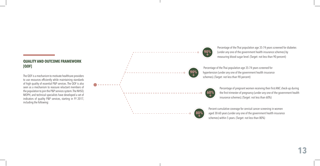# **QUALITY AND OUTCOME FRAMEWORK [QOF]**

The QOF is a mechanism to motivate healthcare providers to use resources efficiently while maintaining standards of high quality of essential P&P services. The QOF is also seen as a mechanism to reassure reluctant members of the population to join the P&P services system. The NHSO, MOPH, and technical specialists have developed a set of indicators of quality P&P services, starting in FY 2017, including the following:



Percentage of the Thai population age 35-74 years screened for diabetes (under any one of the government health insurance schemes) by measuring blood sugar level. (Target: not less than 90 percent)

 Percentage of the Thai population age 35-74 years screened for hypertension (under any one of the government health insurance schemes). (Target: not less than 90 percent)

> Percentage of pregnant women receiving their first ANC check-up during the first trimester of pregnancy(under any one of the government health insurance schemes). (Target: not less than 60%)

Percent cumulative coverage for cervical cancer screening in women aged 30-60 years (under any one of the government health insurance schemes) within 5 years. (Target: not less than 80%)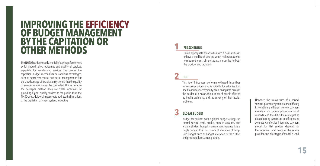# **IMPROVING THE EFFICIENCY OF BUDGET MANAGEMENT BY THE CAPITATION OR OTHER METHODS**

The NHSO has developed a model of payment for services which should reflect outcomes and quality of services, especially for low-demand services. The use of the capitation budget mechanism has obvious advantages, such as better cost control and easier management. But the disadvantage of a capitation system is that the quality of services cannot always be controlled. That is because the per-capita method does not create incentives for providing higher quality services to the public. Thus, the NHSO uses additional measures to address the limitations of the capitation payment system, including:

# **1 FEE SCHEDULE**

This is appropriate for activities with a clear unit cost, or have a fixed list of services,which makesit easier to reimburse the cost of services as an incentive for both the provider and recipient

# **2 QOF**

This tool introduces performance-based incentives for service providers and is suitable for activities that need to increase accessibility while taking into account the burden of disease, the number of people affected by health problems, and the severity of their health problems

# **3 GLOBAL BUDGET**

Budget for services with a global budget ceiling can control service costs, predict costs in advance, and enable efficient budget management because it is a single budget. This is a system of allocation of lumpsum budget, such as budget allocation to the district and provincial level, among others.

However, the weaknesses of a mixedservices payment system are the difficulty in combining different service payment models in an optimal proportion for all contexts, and the difficulty in integrating data reporting systems to be efficient and accurate. An effective integrated payment model for P&P services depends on the incentives and needs of the service provider, and which type of model is used.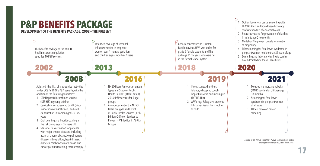# **P&P BENEFITS PACKAGE DEVELOPMENT OF THE BENEFITS PACKAGE: 2002 – THE PRESENT**

đ. Extended coverage of seasonal Cervical cancer vaccine (Human influenza vaccine in pregnant Papillomavirus, HPV) was added for The benefits package of the MOPH women over 4 months gestation grade 5 female students and Thai health insurance regulation and children age 6 months - 2 years girls age 11-12 years who were not specifies 10 P&P services in the formal school system 2002 2013 2018 2016 2008 2019 Adjusted the list of sub-service activities 1 NHSO Board Announcement on Five vaccines: diphtheria, under UCS FY 2009's P&P benefits,with the Types and Scope of Public tetanus, whooping cough, addition of the following four items: Health Services (10th Edition) hepatitis B virus, and meningitis 1 DTP-Hepatitis B combined vaccine 2016: P&P services for 5 age (DTPHB-Hib) (DTP-HB) in young children 2 ARV drug: Raltegravir prevents groups 2 Cervical cancer screening by VIA (Visual 2 Announcement of the NHSO HIV transmission from mother Inspection with Acetic acid) and cold Board on Types and Extent to child cauterization in women aged 30 - 45 of Public Health Services (11th Edition) 2016 on Services to years 3 Oral cleaning and fluoride coating in Prevent HIV Infection in At-Risk the risk group age  $>$  35 years old Groups 4 Seasonal flu vaccination for patients 终  $\mathbb{R}^2$ with major chronic diseases, including asthma, chronic obstructive pulmonary disease, kidney failure, heart disease, diabetes, cerebrovascular disease, and cancer patients receiving chemotherapy: **S** 

- $\ddot{\ddot{\cdot}}$  1 Option for cervical cancer screening with
	- HPV DNA test and liquid-based cytology
	- confirmation test of abnormalcases
	- 2 Rotavirus vaccine for prevention of diarrhea
	- in infants age 2 6 months

2020

- 3 Medabon® to prevent unsafe termination of pregnancy
- 4 Pilot screening for fetal Down syndrome in
- pregnant women no older than 35 years of age
- 5 Screening and laboratory testing to confirm
- Covid-19 infection for all Thai citizens

# 2021

- Measles, mumps, and rubella (MMR) vaccine for children age 18 months
- 2 Screening for fetal Down syndrome in pregnant women of all ages
- 3 FIT test for colon cancer screening

Sources: NHSO Annual Report for FY 2020 and Handbook for the Management of the NHSO Fund for FY 2021

 $\mathcal{C}$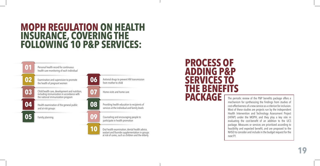# **MOPH REGULATION ON HEALTH INSURANCE, COVERING THE FOLLOWING 10 P&P SERVICES:**



# **PROCESS OF ADDING P&P SERVICES TO THE BENEFITS PACKAGE**

The periodic review of the P&P benefits package offers a mechanism for synthesizing the findings from studies of cost-effectiveness of a new service as a criterion for inclusion. Most of these studies are projects run by the independent Health Intervention and Technology Assessment Project (HITAP) under the MOPH, and they play a key role in evaluating the cost-benefit of an addition to the UCS package. Measures or services are prioritized according to feasibility and expected benefit, and are proposed to the NHSO to consider and include in the budget request for the next FY.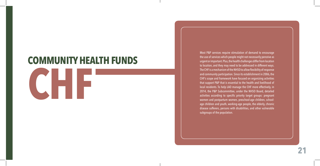# **COMMUNITY HEALTH FUNDS**

# **CHF**

Most P&P services require stimulation of demand to encourage the use of services which people might not necessarily perceive as urgent or important. Plus, the health challenges differ from location to location, and they may need to be addressed in different ways. The CHF is a mechanism of the NHSO to allow flexibility of response and community participation. Since its establishment in 2006, the CHF's scope and framework have focused on organizing activities that support P&P that is essential to the health and livelihood of local residents. To help LAO manage the CHF more effectively, in 2014, the P&P Subcommittee, under the NHSO Board, detailed activities according to specific priority target groups: pregnant women and postpartum women, preschool-age children, schoolage children and youth, working-age people, the elderly, chronic disease sufferers, persons with disabilities, and other vulnerable subgroups of the population.

**21**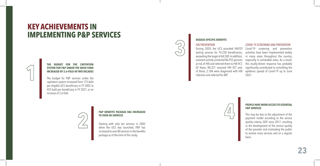# **KEY ACHIEVEMENTS IN IMPLEMENTING P&P SERVICES**



#### **THE BUDGET FOR THE CAPITATION SYSTEM FOR P&P UNDER THE NHSO FUND INCREASED BY 2.6-FOLD IN TWO DECADES**

The budget for P&P services under the capitation system increased from 175 baht per eligible UCS beneficiary in FY 2002 to 455 baht per beneficiary in FY 2021, or an increase of 2.6-fold.



#### **P&P BENEFITS PACKAGE HAS INCREASED TO OVER 80 SERVICES**

Starting with only ten services in 2002 when the UCS was launched, P&P has increased to over 80 servicesin the benefits package as of the time of this study.

of these, 2,184 were diagnosed with HIV infection and referred for ART.

*HIV PREVENTION*

**DISEASE-SPECIFIC BENEFITS**

## *COVID-19 SCREENING AND PREVENTION*

During 2020, the UCS provided HIV/STI Covid-19 screening and prevention testing services for 74,228 beneficiaries, activities have been implemented widely exceeding the target of 68,500. In addition, in many areas throughout the country, outreach activity contacted 86,955 persons especially in vulnerable areas. As a result, at risk of HIV and referred them to HIV VCT. this locally-driven response has probably Of these, 80,321 received HIV VCT and, significantly contributed to controlling the epidemic spread of Covid-19 up to June 2021.



#### **PEOPLE HAVE MORE ACCESS TO ESSENTIAL P&P SERVICES**

This may be due to the adjustment of the payment model according to the service quality criteria, QOF since 2017, resulting in the development of the service quality of the provider and motivating the public to receive more services and on a regular basis.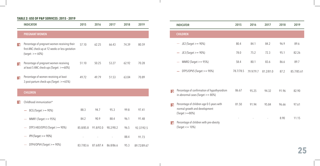# **TABLE 2: USE OF P&P SERVICES: 2015 - 2019**

|                          | <b>INDICATOR</b>                                                                                                        | 2015      | 2016      | 2017      | 2018  | 2019        |
|--------------------------|-------------------------------------------------------------------------------------------------------------------------|-----------|-----------|-----------|-------|-------------|
|                          | <b>PREGNANT WOMEN</b>                                                                                                   |           |           |           |       |             |
| $\vert \vert$            | Percentage of pregnant women receiving their<br>first ANC check-up at 12 weeks or less gestation<br>$(target: >= 60\%)$ | 57.10     | 62.25     | 66.43     | 74.39 | 80.59       |
| $\overline{\phantom{a}}$ | Percentage of pregnant women receiving<br>at least 5 ANC check-ups (Target: >=60%)                                      | 51.10     | 50.25     | 53.27     | 62.92 | 70.28       |
| $\overline{\mathbf{3}}$  | Percentage of women receiving at least<br>3 post-partum check-ups (Target: >=65%)                                       | 49.72     | 49.79     | 51.53     | 63.04 | 70.89       |
|                          | <b>CHILDREN</b>                                                                                                         |           |           |           |       |             |
| $\vert$ 1                | Childhood immunization*<br>$BCG$ (Target $> = 90\%)$                                                                    | 88.3      | 94.7      | 95.3      | 99.8  | 97.41       |
|                          | MMR1 (Target $> = 95\%)$                                                                                                | 84.2      | 90.9      | 88.4      | 96.1  | 91.48       |
|                          | DTP3-HB3/OPV3 (Target $> = 90\%)$                                                                                       | 85.8/85.8 | 91.8/92.0 | 90.2/90.2 | 96.5  | 92.37/92.5  |
|                          | $IPV$ (Target $> = 90\%)$                                                                                               |           |           |           | 88.4  | 91.73       |
|                          | DTP4/OPV4 (Target $>= 90\%$ )                                                                                           | 83.7/83.6 | 87.6/87.4 | 86.8/86.6 | 95.3  | 89.72/89.67 |

|                          | <b>INDICATOR</b>                                                                                 | 2015      | 2016      | 2017      | 2018  | 2019       |
|--------------------------|--------------------------------------------------------------------------------------------------|-----------|-----------|-----------|-------|------------|
|                          | <b>CHILDREN</b>                                                                                  |           |           |           |       |            |
|                          | $JE2$ (Target $>= 90\%)$                                                                         | 80.4      | 84.1      | 84.2      | 96.9  | 89.6       |
|                          | $JE3$ (Target >= 90%)<br>$\overline{\phantom{a}}$                                                | 78.0      | 75.2      | 72.3      | 95.1  | 82.26      |
|                          | MMR2 (Target $> = 95\%)$                                                                         | 58.4      | 80.1      | 83.6      | 86.6  | 89.7       |
|                          | DTP5/OPV5 (Target $>= 90\%$ )                                                                    | 78.7/78.5 | 79.9/79.7 | 81.2/81.0 | 87.2  | 85.7/85.61 |
|                          |                                                                                                  |           |           |           |       |            |
| $\overline{\phantom{a}}$ | Percentage of confirmation of hypothyroidism<br>in abnormal cases (Target $>= 80\%$ )            | 86.67     | 95.25     | 94.32     | 91.96 | 82.90      |
| $\overline{3}$           | Percentage of children age 0-5 years with<br>normal growth and development<br>$(Target >= 80\%)$ | 81.50     | 91.94     | 95.84     | 96.66 | 97.61      |
| $\overline{\mathbf{A}}$  | Percentage of children with pre-obesity<br>$\text{(Target} \leq 10\%)$                           |           |           |           | 8.90  | 11.15      |

 $\overline{\phantom{a}}$ 

 $\mathbb{R}$ 

**25**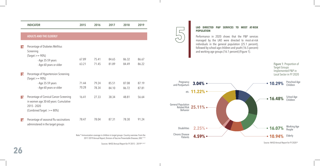| <b>INDICATOR</b>                                                                                                            | 2015                                           | 2016  | 2017  | 2018  | 2019  |
|-----------------------------------------------------------------------------------------------------------------------------|------------------------------------------------|-------|-------|-------|-------|
|                                                                                                                             |                                                |       |       |       |       |
| <b>ADULTS AND THE ELDERLY</b>                                                                                               |                                                |       |       |       |       |
| Percentage of Diabetes Mellitus                                                                                             |                                                |       |       |       |       |
| Screening                                                                                                                   |                                                |       |       |       |       |
|                                                                                                                             |                                                |       |       |       |       |
|                                                                                                                             | 67.89                                          | 75.41 | 84.65 | 86.32 | 86.67 |
| - Age 60 years or older                                                                                                     | 63.21                                          | 71.45 | 81.89 | 84.49 | 86.22 |
| Percentage of Hypertension Screening<br>$\text{(Target} >= 90\%)$                                                           |                                                |       |       |       |       |
| - Age 35-59 years                                                                                                           | 71.44                                          | 79.24 | 85.51 | 87.08 | 87.19 |
| - Age 60 years or older                                                                                                     | 70.28                                          | 78.34 | 84.10 | 86.72 | 87.81 |
| Percentage of Cervical Cancer Screening<br>in women age 30-60 years: Cumulative<br>2015 - 2020<br>(Combined Target: >= 80%) | 16.41                                          | 27.33 | 38.34 | 48.81 | 56.64 |
| Percentage of seasonal flu vaccinations<br>administered in the target groups                                                | 78.47                                          | 78.04 | 87.31 | 78.30 | 91.24 |
|                                                                                                                             | $\text{(Target} >= 90\%)$<br>- Age 35-59 years |       |       |       |       |

Note \* Immunization coverage in children in target groups: Country overview. From the 2017-2019 Annual Report, Division of Vaccine Preventable Diseases, DDC 21-23

Sources: NHSO Annual Report for FY 2015 – 201920, 24-27

# **LAO DIRECTED P&P SERVICES TO MOST AT-RISK POPULATION**

Performance in 2020 shows that the P&P services managed by the LAO were directed to most-at-risk individuals in the general population (25.1 percent), followed by school-age children and youth (16.5 percent) and working-age groups (16.1 percent) (Figure 1).

> Figure 1: Proportion of Target Groups Implemented P&P in Local Sector in FY 2020



Source: NHSO Annual Report for FY 202018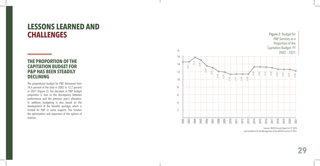# **LESSONS LEARNED AND CHALLENGES**

# **THE PROPORTION OF THE CAPITATION BUDGET FOR P&P HAS BEEN STEADILY DECLINING**

The proportional budget for P&P decreased from 14.6 percent of the total in 2002 to 12.2 percent in 2021 (Figure 2). The decrease in P&P budget proportion is due to the discrepancy between performance and the previous year's allocation. In addition, budgeting is also based on the development of the benefits package, which is limited for P&P in some respects. This hinders the optimization and expansion of the options of services.



Sources: NHSO Annual Report for FY 2020 and Handbook for the Management of the NHSO Fund for FY 2021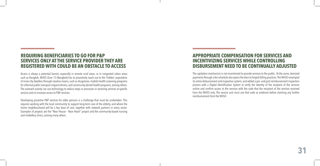# **REQUIRING BENEFICIARIES TO GO FOR P&P SERVICES ONLY AT THE SERVICE PROVIDER THEY ARE REGISTERED WITH COULD BE AN OBSTACLE TO ACCESS**

Access is always a potential barrier, especially in remote rural areas, or in congested urban areas such as Bangkok. NHSO Zone 13 (Bangkok) has to proactively reach out to the 'hidden' population of inner-city dwellers through creative means, such as drugstores, mobile health screening programs for informal public transport migrant drivers, and community dental health programs, among others. The outreach activity can use technology to reduce steps or processes in receiving services at specific service units to increase access to P&P services.

Developing proactive P&P services for older persons is a challenge that must be undertaken. This requires working with the local community to support long-term care of the elderly, and where the home neighbourhood will be a key base of care, together with network partners in every sector. Examples of projects are the "Near House – Near Heart" project and the community-based nursing and midwifery clinics, among many others.

# **APPROPRIATE COMPENSATION FOR SERVICES AND INCENTIVIZING SERVICES WHILE CONTROLLING DISBURSEMENT NEED TO BE CONTINUALLY ADJUSTED**

The capitation mechanism is not incentivized to provide services to the public. At the same, itemized payments through a fee schedule also opens the door to forged billing practices. The NHSO revamped its entire disbursement and inspection system, and added a pre- and post-reimbursement inspection process with a Digital Identification System to verify the identity of the recipient of the services online and confirm access to the services with the code that the recipient of the services received from the NHSO only. The service unit must use that code as evidence before claiming any further reimbursement from the NHSO.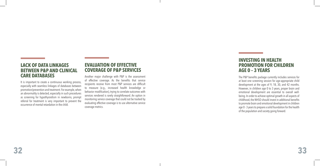# **LACK OF DATA LINKAGES BETWEEN P&P AND CLINICAL CARE DATABASES**

It is important to create a continuous working process, especially with seamless linkages of databases between promotion/prevention and treatment. For example, when an abnormality is detected, especially in such procedures as screening for hypothyroidism in newborns, prompt referral for treatment is very important to prevent the occurrence of mental retardation in the child.

# **EVALUATION OF EFFECTIVE COVERAGE OF P&P SERVICES**

Another major challenge with P&P is the assessment of effective coverage. As the benefits that service recipients receive from most P&P services are difficult to measure (e.g., increased health knowledge or behavior modification), trying to correlate outcomes with services rendered is rarely straightforward. An option in monitoring service coverage that could not be tracked by evaluating effective coverage is to use alternative service coverage metrics.

# **INVESTING IN HEALTH PROMOTION FOR CHILDREN AGE 0 – 3 YEARS**

The P&P benefits package currently includes services for at least one screening session for age-appropriate child development at the ages of 9, 18, 30, and 42 months. However, in children age 0 to 3 years, proper brain and emotional development are essential to overall wellbeing. In order to achieve optimal growth in all aspects of childhood, the NHSO should invest in additional benefits to promote brain and emotional development in children age 0 - 3 years to prepare a solid foundation for the health of the population and society going forward.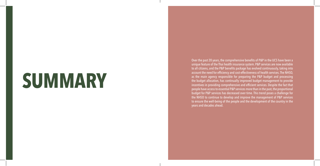# **SUMMARY**

Over the past 20 years, the comprehensive benefits of P&P in the UCS have been a unique feature of the Thai health insurance system. P&P services are now available to all citizens, and the P&P benefits package has evolved continuously, taking into account the need for efficiency and cost-effectiveness of health services. The NHSO, as the main agency responsible for preparing the P&P budget and processing the budget allocation, has continually improved budget management to provide incentives in providing comprehensive and efficient services. Despite the fact that people have access to essential P&P services more than in the past, the proportional budget for P&P services has decreased over time. This trend poses a challenge for the NHSO to continue to develop and improve the management of P&P services to ensure the well-being of the people and the development of the country in the years and decades ahead.